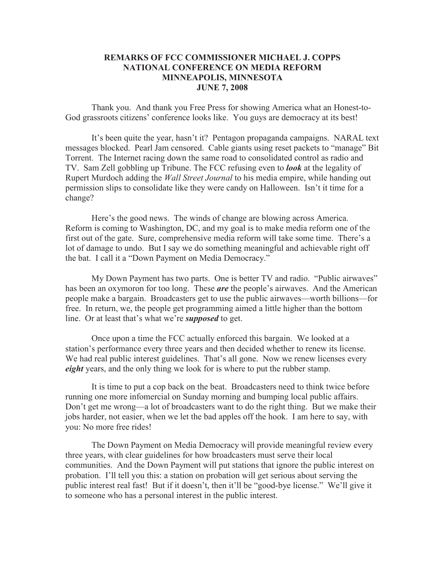## **REMARKS OF FCC COMMISSIONER MICHAEL J. COPPS NATIONAL CONFERENCE ON MEDIA REFORM MINNEAPOLIS, MINNESOTA JUNE 7, 2008**

Thank you. And thank you Free Press for showing America what an Honest-to-God grassroots citizens' conference looks like. You guys are democracy at its best!

It's been quite the year, hasn't it? Pentagon propaganda campaigns. NARAL text messages blocked. Pearl Jam censored. Cable giants using reset packets to "manage" Bit Torrent. The Internet racing down the same road to consolidated control as radio and TV. Sam Zell gobbling up Tribune. The FCC refusing even to *look* at the legality of Rupert Murdoch adding the *Wall Street Journal* to his media empire, while handing out permission slips to consolidate like they were candy on Halloween. Isn't it time for a change?

Here's the good news. The winds of change are blowing across America. Reform is coming to Washington, DC, and my goal is to make media reform one of the first out of the gate. Sure, comprehensive media reform will take some time. There's a lot of damage to undo. But I say we do something meaningful and achievable right off the bat. I call it a "Down Payment on Media Democracy."

My Down Payment has two parts. One is better TV and radio. "Public airwaves" has been an oxymoron for too long. These *are* the people's airwaves. And the American people make a bargain. Broadcasters get to use the public airwaves—worth billions—for free. In return, we, the people get programming aimed a little higher than the bottom line. Or at least that's what we're *supposed* to get.

Once upon a time the FCC actually enforced this bargain. We looked at a station's performance every three years and then decided whether to renew its license. We had real public interest guidelines. That's all gone. Now we renew licenses every *eight* years, and the only thing we look for is where to put the rubber stamp.

It is time to put a cop back on the beat. Broadcasters need to think twice before running one more infomercial on Sunday morning and bumping local public affairs. Don't get me wrong—a lot of broadcasters want to do the right thing. But we make their jobs harder, not easier, when we let the bad apples off the hook. I am here to say, with you: No more free rides!

The Down Payment on Media Democracy will provide meaningful review every three years, with clear guidelines for how broadcasters must serve their local communities. And the Down Payment will put stations that ignore the public interest on probation. I'll tell you this: a station on probation will get serious about serving the public interest real fast! But if it doesn't, then it'll be "good-bye license." We'll give it to someone who has a personal interest in the public interest.